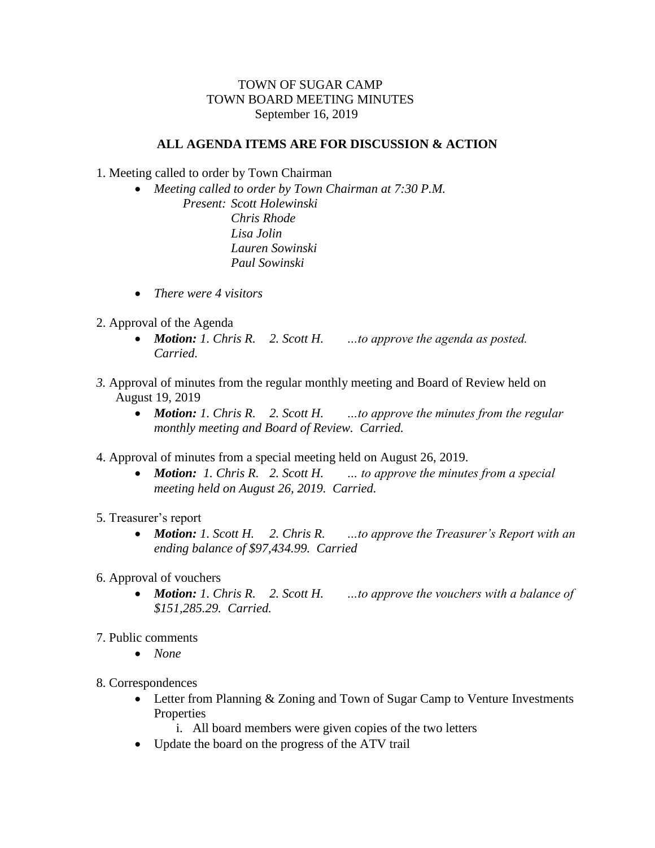## TOWN OF SUGAR CAMP TOWN BOARD MEETING MINUTES September 16, 2019

## **ALL AGENDA ITEMS ARE FOR DISCUSSION & ACTION**

- 1. Meeting called to order by Town Chairman
	- *Meeting called to order by Town Chairman at 7:30 P.M. Present: Scott Holewinski Chris Rhode Lisa Jolin Lauren Sowinski Paul Sowinski*
	- *There were 4 visitors*
- 2. Approval of the Agenda
	- *Motion: 1. Chris R. 2. Scott H. …to approve the agenda as posted. Carried.*
- *3.* Approval of minutes from the regular monthly meeting and Board of Review held on August 19, 2019
	- *Motion: 1. Chris R. 2. Scott H. …to approve the minutes from the regular monthly meeting and Board of Review. Carried.*
- 4. Approval of minutes from a special meeting held on August 26, 2019.
	- *Motion: 1. Chris R. 2. Scott H. … to approve the minutes from a special meeting held on August 26, 2019. Carried.*
- 5. Treasurer's report
	- *Motion: 1. Scott H. 2. Chris R. …to approve the Treasurer's Report with an ending balance of \$97,434.99. Carried*
- 6. Approval of vouchers
	- *Motion: 1. Chris R. 2. Scott H. …to approve the vouchers with a balance of \$151,285.29. Carried.*
- 7. Public comments
	- *None*
- 8. Correspondences
	- Letter from Planning & Zoning and Town of Sugar Camp to Venture Investments **Properties** 
		- i. All board members were given copies of the two letters
	- Update the board on the progress of the ATV trail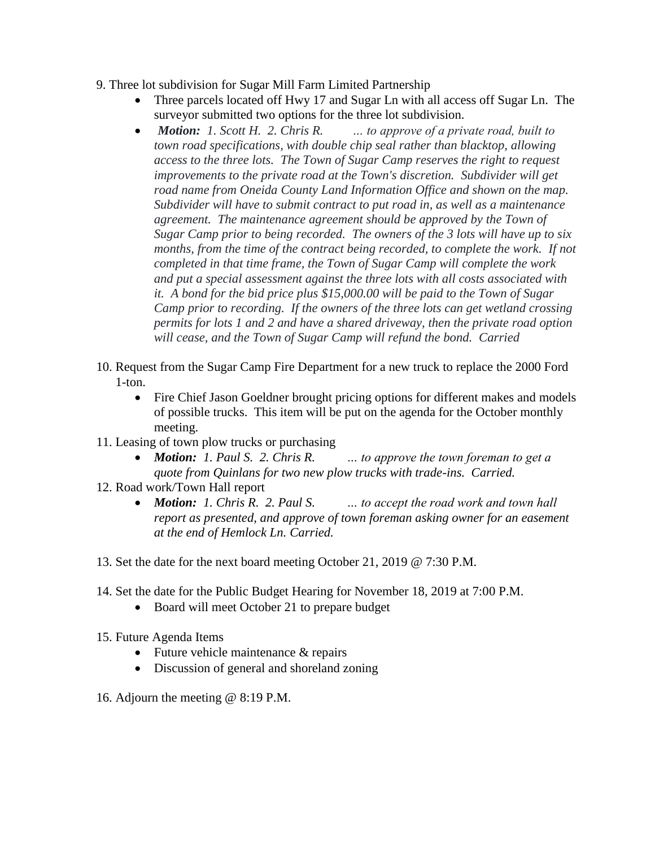- 9. Three lot subdivision for Sugar Mill Farm Limited Partnership
	- Three parcels located off Hwy 17 and Sugar Ln with all access off Sugar Ln. The surveyor submitted two options for the three lot subdivision.
	- *Motion: 1. Scott H. 2. Chris R. … to approve of a private road, built to town road specifications, with double chip seal rather than blacktop, allowing access to the three lots. The Town of Sugar Camp reserves the right to request improvements to the private road at the Town's discretion. Subdivider will get road name from Oneida County Land Information Office and shown on the map. Subdivider will have to submit contract to put road in, as well as a maintenance agreement. The maintenance agreement should be approved by the Town of Sugar Camp prior to being recorded. The owners of the 3 lots will have up to six months, from the time of the contract being recorded, to complete the work. If not completed in that time frame, the Town of Sugar Camp will complete the work and put a special assessment against the three lots with all costs associated with it. A bond for the bid price plus \$15,000.00 will be paid to the Town of Sugar Camp prior to recording. If the owners of the three lots can get wetland crossing permits for lots 1 and 2 and have a shared driveway, then the private road option will cease, and the Town of Sugar Camp will refund the bond. Carried*
- 10. Request from the Sugar Camp Fire Department for a new truck to replace the 2000 Ford 1-ton.
	- Fire Chief Jason Goeldner brought pricing options for different makes and models of possible trucks. This item will be put on the agenda for the October monthly meeting.
- 11. Leasing of town plow trucks or purchasing
	- *Motion: 1. Paul S. 2. Chris R. … to approve the town foreman to get a quote from Quinlans for two new plow trucks with trade-ins. Carried.*
- 12. Road work/Town Hall report
	- *Motion: 1. Chris R. 2. Paul S. … to accept the road work and town hall report as presented, and approve of town foreman asking owner for an easement at the end of Hemlock Ln. Carried.*
- 13. Set the date for the next board meeting October 21, 2019 @ 7:30 P.M.
- 14. Set the date for the Public Budget Hearing for November 18, 2019 at 7:00 P.M.
	- Board will meet October 21 to prepare budget
- 15. Future Agenda Items
	- Future vehicle maintenance & repairs
	- Discussion of general and shoreland zoning
- 16. Adjourn the meeting @ 8:19 P.M.